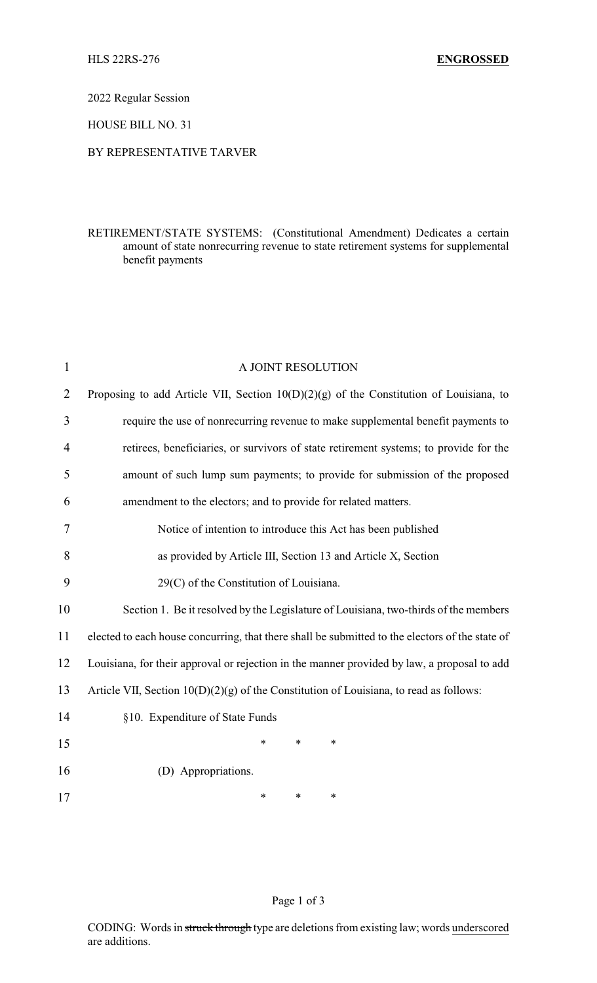2022 Regular Session

HOUSE BILL NO. 31

## BY REPRESENTATIVE TARVER

## RETIREMENT/STATE SYSTEMS: (Constitutional Amendment) Dedicates a certain amount of state nonrecurring revenue to state retirement systems for supplemental benefit payments

| $\mathbf{1}$   | A JOINT RESOLUTION                                                                              |  |  |  |
|----------------|-------------------------------------------------------------------------------------------------|--|--|--|
| $\overline{2}$ | Proposing to add Article VII, Section $10(D)(2)(g)$ of the Constitution of Louisiana, to        |  |  |  |
| 3              | require the use of nonrecurring revenue to make supplemental benefit payments to                |  |  |  |
| 4              | retirees, beneficiaries, or survivors of state retirement systems; to provide for the           |  |  |  |
| 5              | amount of such lump sum payments; to provide for submission of the proposed                     |  |  |  |
| 6              | amendment to the electors; and to provide for related matters.                                  |  |  |  |
| 7              | Notice of intention to introduce this Act has been published                                    |  |  |  |
| 8              | as provided by Article III, Section 13 and Article X, Section                                   |  |  |  |
| 9              | 29(C) of the Constitution of Louisiana.                                                         |  |  |  |
| 10             | Section 1. Be it resolved by the Legislature of Louisiana, two-thirds of the members            |  |  |  |
| 11             | elected to each house concurring, that there shall be submitted to the electors of the state of |  |  |  |
| 12             | Louisiana, for their approval or rejection in the manner provided by law, a proposal to add     |  |  |  |
| 13             | Article VII, Section $10(D)(2)(g)$ of the Constitution of Louisiana, to read as follows:        |  |  |  |
| 14             | §10. Expenditure of State Funds                                                                 |  |  |  |
| 15             | *<br>$\ast$<br>*                                                                                |  |  |  |
| 16             | (D) Appropriations.                                                                             |  |  |  |
| 17             | *<br>$\ast$<br>*                                                                                |  |  |  |

Page 1 of 3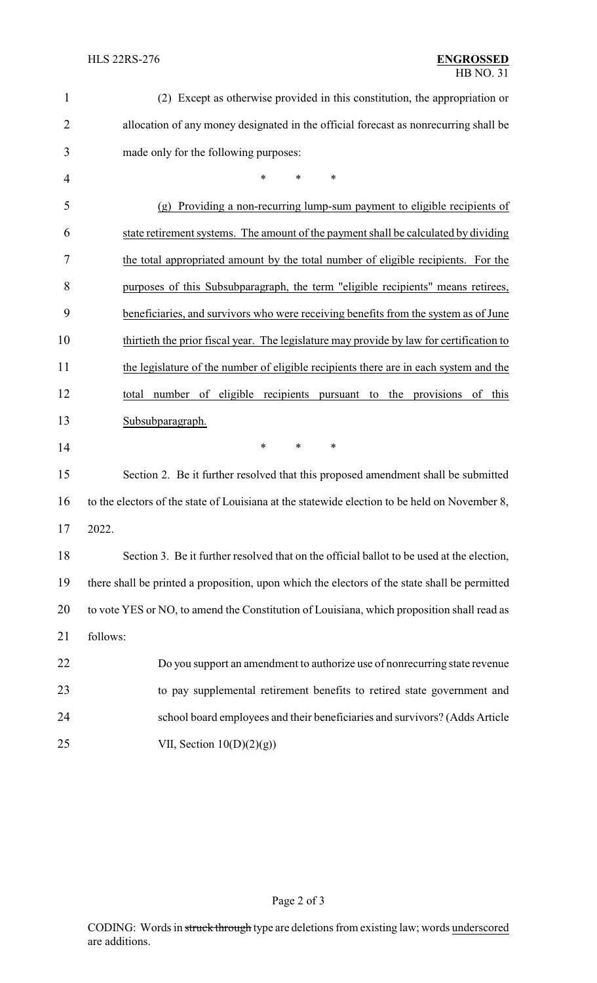| $\mathbf{1}$   | (2) Except as otherwise provided in this constitution, the appropriation or                   |  |  |  |
|----------------|-----------------------------------------------------------------------------------------------|--|--|--|
| $\overline{2}$ | allocation of any money designated in the official forecast as nonrecurring shall be          |  |  |  |
| 3              | made only for the following purposes:                                                         |  |  |  |
| 4              | *<br>*<br>$\ast$                                                                              |  |  |  |
| 5              | Providing a non-recurring lump-sum payment to eligible recipients of<br>(g)                   |  |  |  |
| 6              | state retirement systems. The amount of the payment shall be calculated by dividing           |  |  |  |
| 7              | the total appropriated amount by the total number of eligible recipients. For the             |  |  |  |
| 8              | purposes of this Subsubparagraph, the term "eligible recipients" means retirees,              |  |  |  |
| 9              | beneficiaries, and survivors who were receiving benefits from the system as of June           |  |  |  |
| 10             | thirtieth the prior fiscal year. The legislature may provide by law for certification to      |  |  |  |
| 11             | the legislature of the number of eligible recipients there are in each system and the         |  |  |  |
| 12             | number of eligible recipients pursuant to the provisions<br>of this<br>total                  |  |  |  |
| 13             | Subsubparagraph.                                                                              |  |  |  |
| 14             | $\ast$<br>$\ast$<br>$\ast$                                                                    |  |  |  |
| 15             | Section 2. Be it further resolved that this proposed amendment shall be submitted             |  |  |  |
| 16             | to the electors of the state of Louisiana at the statewide election to be held on November 8, |  |  |  |
| 17             | 2022.                                                                                         |  |  |  |
| 18             | Section 3. Be it further resolved that on the official ballot to be used at the election,     |  |  |  |
| 19             | there shall be printed a proposition, upon which the electors of the state shall be permitted |  |  |  |
| 20             | to vote YES or NO, to amend the Constitution of Louisiana, which proposition shall read as    |  |  |  |
| 21             | follows:                                                                                      |  |  |  |
| 22             | Do you support an amendment to authorize use of nonrecurring state revenue                    |  |  |  |
| 23             | to pay supplemental retirement benefits to retired state government and                       |  |  |  |
| 24             | school board employees and their beneficiaries and survivors? (Adds Article                   |  |  |  |
| 25             | VII, Section $10(D)(2)(g)$                                                                    |  |  |  |